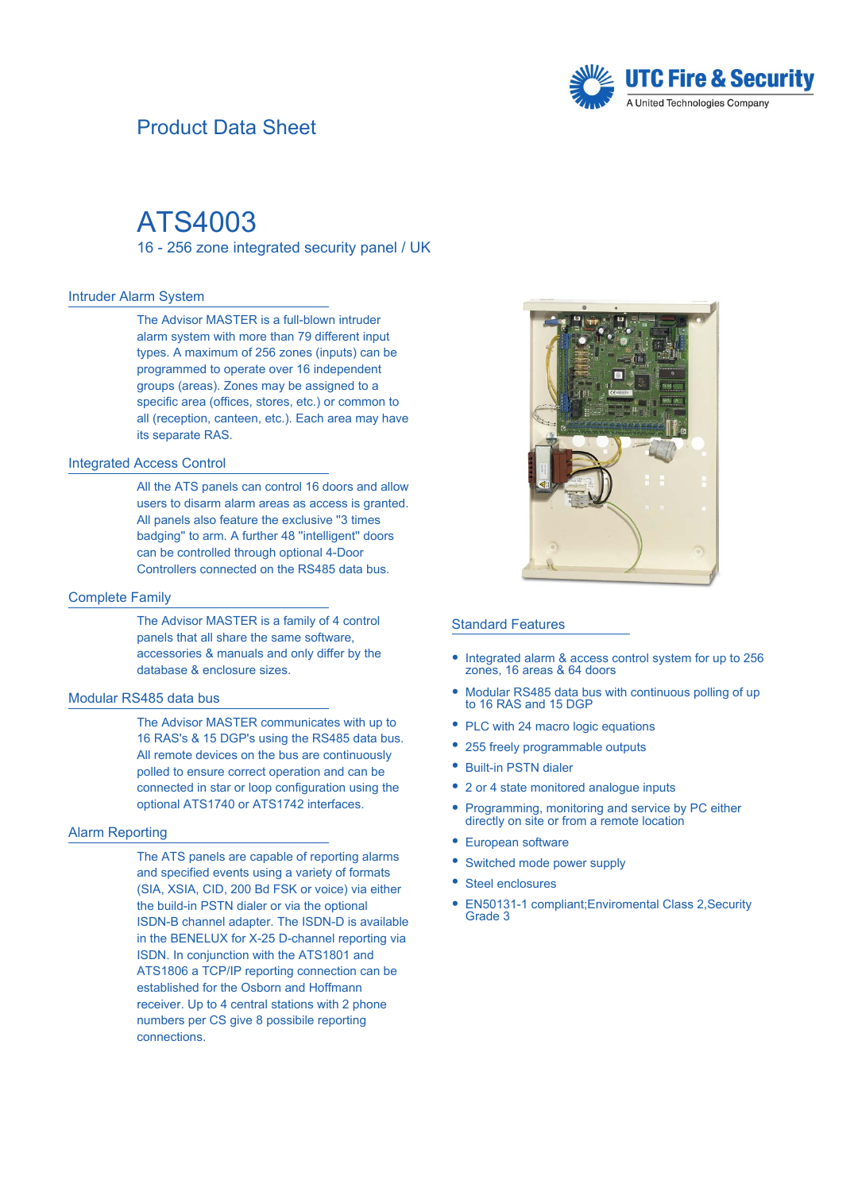## Product Data Sheet



## ATS4003

16 - 256 zone integrated security panel / UK

#### Intruder Alarm System

The Advisor MASTER is a full-blown intruder alarm system with more than 79 different input types. A maximum of 256 zones (inputs) can be programmed to operate over 16 independent groups (areas). Zones may be assigned to a specific area (offices, stores, etc.) or common to all (reception, canteen, etc.). Each area may have its separate RAS.

#### Integrated Access Control

All the ATS panels can control 16 doors and allow users to disarm alarm areas as access is granted. All panels also feature the exclusive ''3 times badging'' to arm. A further 48 ''intelligent'' doors can be controlled through optional 4-Door Controllers connected on the RS485 data bus.

#### Complete Family

The Advisor MASTER is a family of 4 control panels that all share the same software, accessories & manuals and only differ by the database & enclosure sizes.

#### Modular RS485 data bus

The Advisor MASTER communicates with up to 16 RAS's & 15 DGP's using the RS485 data bus. All remote devices on the bus are continuously polled to ensure correct operation and can be connected in star or loop configuration using the optional ATS1740 or ATS1742 interfaces.

#### Alarm Reporting

The ATS panels are capable of reporting alarms and specified events using a variety of formats (SIA, XSIA, CID, 200 Bd FSK or voice) via either the build-in PSTN dialer or via the optional ISDN-B channel adapter. The ISDN-D is available in the BENELUX for X-25 D-channel reporting via ISDN. In conjunction with the ATS1801 and ATS1806 a TCP/IP reporting connection can be established for the Osborn and Hoffmann receiver. Up to 4 central stations with 2 phone numbers per CS give 8 possibile reporting connections.



#### Standard Features

- Integrated alarm & access control system for up to 256 • Integrated alarm & access d<br>zones, 16 areas & 64 doors
- Modular RS485 data bus with continuous polling of up to 16 RAS and 15 DGP  $\bullet$
- PLC with 24 macro logic equations
- 255 freely programmable outputs
- Built-in PSTN dialer
- 2 or 4 state monitored analogue inputs
- Programming, monitoring and service by PC either directly on site or from a remote location  $\bullet$
- $\bullet$ European software
- ESwitched mode power supply
- ESteel enclosures
- EN50131-1 compliant;Enviromental Class 2,Security Grade 3  $\bullet$